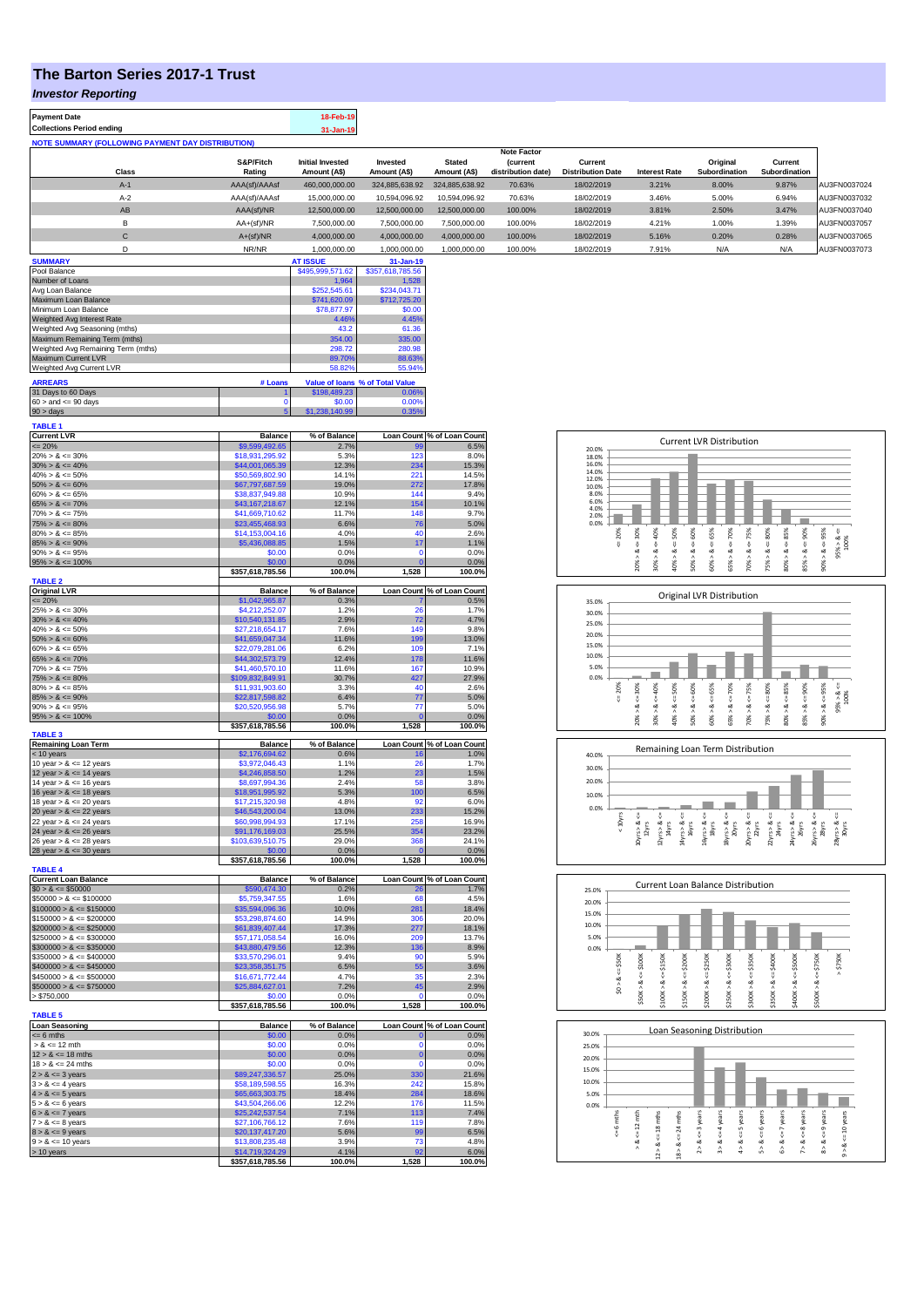## **The Barton Series 2017-1 Trust**

*Investor Reporting*

| <b>Payment Date</b>                                      |                     | 18-Feb-19                               |                                 |                               |                                       |                                     |                         |                                                      |                                      |                                                                        |
|----------------------------------------------------------|---------------------|-----------------------------------------|---------------------------------|-------------------------------|---------------------------------------|-------------------------------------|-------------------------|------------------------------------------------------|--------------------------------------|------------------------------------------------------------------------|
| <b>Collections Period ending</b>                         |                     | 31-Jan-19                               |                                 |                               |                                       |                                     |                         |                                                      |                                      |                                                                        |
| <b>NOTE SUMMARY (FOLLOWING PAYMENT DAY DISTRIBUTION)</b> |                     |                                         |                                 |                               |                                       |                                     |                         |                                                      |                                      |                                                                        |
|                                                          |                     |                                         |                                 |                               | <b>Note Factor</b>                    |                                     |                         |                                                      |                                      |                                                                        |
| Class                                                    | S&P/Fitch<br>Rating | <b>Initial Invested</b><br>Amount (A\$) | Invested<br>Amount (A\$)        | <b>Stated</b><br>Amount (A\$) | <b>(current</b><br>distribution date) | Current<br><b>Distribution Date</b> | <b>Interest Rate</b>    | Original<br>Subordination                            | Current<br>Subordination             |                                                                        |
| $A-1$                                                    | AAA(sf)/AAAsf       | 460,000,000.00                          | 324,885,638.92                  | 324,885,638.92                | 70.63%                                | 18/02/2019                          | 3.21%                   | 8.00%                                                | 9.87%                                | AU3FN0037024                                                           |
|                                                          |                     |                                         |                                 |                               |                                       |                                     |                         |                                                      |                                      |                                                                        |
| $A-2$                                                    | AAA(sf)/AAAsf       | 15,000,000.00                           | 10,594,096.92                   | 10,594,096.92                 | 70.63%                                | 18/02/2019                          | 3.46%                   | 5.00%                                                | 6.94%                                | AU3FN0037032                                                           |
| AB                                                       | AAA(sf)/NR          | 12,500,000.00                           | 12,500,000.00                   | 12,500,000.00                 | 100.00%                               | 18/02/2019                          | 3.81%                   | 2.50%                                                | 3.47%                                | AU3FN0037040                                                           |
| B                                                        | AA+(sf)/NR          | 7,500,000.00                            | 7,500,000.00                    | 7,500,000.00                  | 100.00%                               | 18/02/2019                          | 4.21%                   | 1.00%                                                | 1.39%                                | AU3FN0037057                                                           |
| $\mathsf{C}$                                             | $A+(sf)/NR$         | 4,000,000.00                            | 4,000,000.00                    | 4,000,000.00                  | 100.00%                               | 18/02/2019                          | 5.16%                   | 0.20%                                                | 0.28%                                | AU3FN0037065                                                           |
| D                                                        | NR/NR               | 1,000,000.00                            | 1,000,000.00                    | 1,000,000.00                  | 100.00%                               | 18/02/2019                          | 7.91%                   | N/A                                                  | N/A                                  | AU3FN0037073                                                           |
| <b>SUMMARY</b>                                           |                     | <b>AT ISSUE</b>                         | 31-Jan-19                       |                               |                                       |                                     |                         |                                                      |                                      |                                                                        |
| Pool Balance                                             |                     | \$495,999,571.62                        | \$357,618,785.56                |                               |                                       |                                     |                         |                                                      |                                      |                                                                        |
| Number of Loans                                          |                     | 1.964                                   | 1,528                           |                               |                                       |                                     |                         |                                                      |                                      |                                                                        |
| Avg Loan Balance                                         |                     | \$252,545.61                            | \$234,043.71                    |                               |                                       |                                     |                         |                                                      |                                      |                                                                        |
| Maximum Loan Balance                                     |                     | \$741,620.09                            | \$712,725.20                    |                               |                                       |                                     |                         |                                                      |                                      |                                                                        |
| Minimum Loan Balance                                     |                     | \$78,877.97                             | \$0.00                          |                               |                                       |                                     |                         |                                                      |                                      |                                                                        |
| Weighted Avg Interest Rate                               |                     | 4.46%                                   | 4.45%                           |                               |                                       |                                     |                         |                                                      |                                      |                                                                        |
| Weighted Avg Seasoning (mths)                            |                     | 43.2                                    | 61.36                           |                               |                                       |                                     |                         |                                                      |                                      |                                                                        |
| Maximum Remaining Term (mths)                            |                     | 354.00                                  | 335.00                          |                               |                                       |                                     |                         |                                                      |                                      |                                                                        |
| Weighted Avg Remaining Term (mths)                       |                     | 298.72                                  | 280.98                          |                               |                                       |                                     |                         |                                                      |                                      |                                                                        |
| Maximum Current LVR                                      |                     | 89.70%                                  | 88.63%                          |                               |                                       |                                     |                         |                                                      |                                      |                                                                        |
| Weighted Avg Current LVR                                 |                     | 58.82%                                  | 55,94%                          |                               |                                       |                                     |                         |                                                      |                                      |                                                                        |
| <b>ARREARS</b>                                           | # Loans             |                                         | Value of Ioans % of Total Value |                               |                                       |                                     |                         |                                                      |                                      |                                                                        |
| 31 Days to 60 Days                                       |                     | \$198,489.23                            | 0.06%                           |                               |                                       |                                     |                         |                                                      |                                      |                                                                        |
| $60 >$ and $\leq 90$ days                                |                     | \$0.00                                  | 0.00%                           |                               |                                       |                                     |                         |                                                      |                                      |                                                                        |
| $90 > \text{days}$                                       |                     | \$1,238,140.99                          | 0.35%                           |                               |                                       |                                     |                         |                                                      |                                      |                                                                        |
| <b>TABLE 1</b>                                           |                     |                                         |                                 |                               |                                       |                                     |                         |                                                      |                                      |                                                                        |
| <b>Current LVR</b>                                       | <b>Balance</b>      | % of Balance                            |                                 | Loan Count % of Loan Count    |                                       |                                     |                         |                                                      |                                      |                                                                        |
| $= 20%$                                                  | \$9,599,492.65      | 2.7%                                    | 99                              | 6.5%                          |                                       | 20.0%                               |                         | <b>Current LVR Distribution</b>                      |                                      |                                                                        |
| $20\% > 8 \le 30\%$                                      | \$18,931,295.92     | 5.3%                                    | 123                             | 8.0%                          |                                       | 18.0%                               |                         |                                                      |                                      |                                                                        |
| $30\% > 8 \le 40\%$                                      | \$44,001,065.39     | 12.3%                                   | 234                             | 15.3%                         |                                       | 16.0%                               |                         |                                                      |                                      |                                                                        |
| $40\% > 8 \le 50\%$                                      | \$50,569,802.90     | 14.1%                                   | 221                             | 14.5%                         |                                       | 14.0%<br>12.0%                      |                         |                                                      |                                      |                                                                        |
| $50\% > 8 \le 60\%$                                      | \$67,797,687.59     | 19.0%                                   | 272                             | 17.8%                         |                                       | 10.0%                               |                         |                                                      |                                      |                                                                        |
| $60\% > 8 \le 65\%$                                      | \$38,837,949.88     | 10.9%                                   | 144                             | 9.4%                          |                                       | 8.0%                                |                         |                                                      |                                      |                                                                        |
| $65\% > 8 \le 70\%$                                      | \$43,167,218,67     | 12.1%                                   | 154                             | 10.1%                         |                                       | 6.0%<br>4.0%                        |                         |                                                      |                                      |                                                                        |
| $70\% > 8 \le 75\%$                                      | \$41,669,710.62     | 11.7%                                   | 148                             | 9.7%                          |                                       | 2.0%                                |                         |                                                      |                                      |                                                                        |
| $75\% > 8 \le 80\%$                                      | \$23,455,468,93     | 6.6%                                    | 76                              | 5.0%                          |                                       | 0.0%                                |                         |                                                      |                                      |                                                                        |
| $80\% > 8 \le 85\%$                                      | \$14,153,004.16     | 4.0%                                    | 40                              | 2.6%                          |                                       | č                                   | 40%<br>50%<br>30%       | 65%<br>75%<br>60%<br>70%                             | 80%<br>85%<br>90%                    | 95%                                                                    |
| $85\% > 8 \le 90\%$                                      | \$5,436,088.85      | 1.5%                                    | 17                              | 1.1%                          |                                       |                                     | v<br>8                  | ₩<br>Ÿ,<br>8<br>8                                    | ₩<br>₩<br>v                          | Ÿ.                                                                     |
| $90\% > 8 \le 95\%$                                      | \$0.00              | 0.0%                                    |                                 | 0.0%                          |                                       |                                     | œ<br>ಹ<br>∞<br>$\wedge$ | ಹ<br>ಷ<br>ಹ<br>∞<br>$\wedge$<br>$\wedge$<br>$\wedge$ | ઌ<br>ಹ<br>ಂಶ<br>$\wedge$<br>$\wedge$ | $95\% > 8 \le$<br>100%<br>$\stackrel{\mathtt{ex}}{\scriptstyle\wedge}$ |

| 90% > & <= 95%                             | \$0.00           | $0.0\%$      | 0                 | $0.0\%$                                                                                                                                                                                                                                                                 |
|--------------------------------------------|------------------|--------------|-------------------|-------------------------------------------------------------------------------------------------------------------------------------------------------------------------------------------------------------------------------------------------------------------------|
| $95\% > 8 \le 100\%$                       | \$0.00           | 0.0%         | n                 | 0.0%                                                                                                                                                                                                                                                                    |
|                                            | \$357,618,785.56 | 100.0%       | 1,528             | 100.0%                                                                                                                                                                                                                                                                  |
| <b>TABLE 2</b>                             |                  |              |                   |                                                                                                                                                                                                                                                                         |
| <b>Original LVR</b>                        | <b>Balance</b>   | % of Balance | <b>Loan Count</b> | % of Loan Count                                                                                                                                                                                                                                                         |
| $= 20%$                                    | \$1,042,965.87   | 0.3%         |                   | 0.5%                                                                                                                                                                                                                                                                    |
| $25\% > 8 \le 30\%$                        | \$4,212,252.07   | 1.2%         | 26                | 1.7%                                                                                                                                                                                                                                                                    |
| $30\% > 8 \le 40\%$                        | \$10,540,131.85  | 2.9%         | 72                | 4.7%                                                                                                                                                                                                                                                                    |
| $40\% > 8 \le 50\%$                        | \$27,218,654.17  | 7.6%         | 149               | 9.8%                                                                                                                                                                                                                                                                    |
| $50\% > 8 \le 60\%$                        | \$41,659,047.34  | 11.6%        | 199               | 13.0%                                                                                                                                                                                                                                                                   |
| $60\% > 8 \le 65\%$                        | \$22,079,281.06  | 6.2%         | 109               | 7.1%                                                                                                                                                                                                                                                                    |
| $65\% > 8 \le 70\%$                        | \$44,302,573.79  | 12.4%        | 178               | 11.6%                                                                                                                                                                                                                                                                   |
| $70\% > 8 \le 75\%$                        | \$41,460,570.10  | 11.6%        | 167               | 10.9%                                                                                                                                                                                                                                                                   |
| $75\% > 8 \le 80\%$                        | \$109,832,849.91 | 30.7%        | 427               | 27.9%                                                                                                                                                                                                                                                                   |
| $80\% > 8 \le 85\%$                        | \$11,931,903.60  | 3.3%         | 40                | 2.6%                                                                                                                                                                                                                                                                    |
| $85\% > 8 \le 90\%$                        | \$22,817,598.82  | 6.4%         | 77                | 5.0%                                                                                                                                                                                                                                                                    |
| $90\% > 8 \le 95\%$                        | \$20,520,956.98  | 5.7%         | 77                | 5.0%                                                                                                                                                                                                                                                                    |
| $95\% > 8 \le 100\%$                       | \$0.00           | 0.0%         | $\overline{0}$    | 0.0%                                                                                                                                                                                                                                                                    |
|                                            | \$357,618,785.56 | 100.0%       | 1,528             | 100.0%                                                                                                                                                                                                                                                                  |
| <b>TABLE 3</b>                             |                  |              |                   |                                                                                                                                                                                                                                                                         |
| <b>Remaining Loan Term</b>                 | <b>Balance</b>   | % of Balance |                   | Loan Count % of Loan Count                                                                                                                                                                                                                                              |
| < 10 years                                 | \$2,176,694.62   | 0.6%         | 16                | 1.0%                                                                                                                                                                                                                                                                    |
| 10 year $> 8 \le 12$ years                 | \$3,972,046.43   | 1.1%         | 26                | 1.7%                                                                                                                                                                                                                                                                    |
|                                            |                  | 1.2%         |                   |                                                                                                                                                                                                                                                                         |
| 12 year $> 8 \le 14$ years                 | \$4,246,858.50   |              | 23<br>58          | 1.5%                                                                                                                                                                                                                                                                    |
| 14 year $> 8 \le 16$ years                 | \$8,697,994.36   | 2.4%         |                   | 3.8%                                                                                                                                                                                                                                                                    |
| 16 year $> 8 \le 18$ years                 | \$18,951,995.92  | 5.3%         | 100               | 6.5%                                                                                                                                                                                                                                                                    |
| 18 year $> 8 \le 20$ years                 | \$17,215,320.98  | 4.8%         | 92                | 6.0%                                                                                                                                                                                                                                                                    |
| 20 year $> 8 \le 22$ years                 | \$46,543,200.04  | 13.0%        | 233               | 15.2%                                                                                                                                                                                                                                                                   |
| 22 year $> 8 \le 24$ years                 | \$60,998,994.93  | 17.1%        | 258               | 16.9%                                                                                                                                                                                                                                                                   |
| 24 year $> 8 \le 26$ years                 | \$91,176,169.03  | 25.5%        | 354               | 23.2%                                                                                                                                                                                                                                                                   |
|                                            |                  |              |                   | 24.1%                                                                                                                                                                                                                                                                   |
| $26$ year > $8 \le 28$ years               | \$103,639,510.75 | 29.0%        | 368               |                                                                                                                                                                                                                                                                         |
| 28 year $> 8 \le 30$ years                 | \$0.00           | 0.0%         | O                 | 0.0%                                                                                                                                                                                                                                                                    |
|                                            | \$357,618,785.56 | 100.0%       | 1,528             | 100.0%                                                                                                                                                                                                                                                                  |
| <b>TABLE 4</b>                             |                  |              |                   |                                                                                                                                                                                                                                                                         |
| <b>Current Loan Balance</b>                | <b>Balance</b>   | % of Balance |                   |                                                                                                                                                                                                                                                                         |
| $$0 > 8 \leq $50000$                       | \$590,474.30     | 0.2%         | 26                |                                                                                                                                                                                                                                                                         |
| $$50000 > 8 \le $100000$                   | \$5,759,347.55   | 1.6%         | 68                |                                                                                                                                                                                                                                                                         |
| $$100000 > 8 \le $150000$                  | \$35,594,096.36  | 10.0%        | 281               |                                                                                                                                                                                                                                                                         |
| $$150000 > 8 \le $200000$                  | \$53,298,874.60  | 14.9%        | 306               |                                                                                                                                                                                                                                                                         |
| $$200000 > 8 \leq $250000$                 | \$61,839,407.44  | 17.3%        | 277               |                                                                                                                                                                                                                                                                         |
| $$250000 > 8 \leq $300000$                 | \$57,171,058.54  | 16.0%        | 209               |                                                                                                                                                                                                                                                                         |
|                                            |                  |              | 136               |                                                                                                                                                                                                                                                                         |
| $$300000 > 8 \leq $350000$                 | \$43,880,479.56  | 12.3%        |                   |                                                                                                                                                                                                                                                                         |
| $$350000 > 8 \le $400000$                  | \$33,570,296.01  | 9.4%         | 90                |                                                                                                                                                                                                                                                                         |
| $$400000 > 8 \le $450000$                  | \$23,358,351.75  | 6.5%         | 55                |                                                                                                                                                                                                                                                                         |
| $$450000 > 8 \le $500000$                  | \$16,671,772.44  | 4.7%         | 35                |                                                                                                                                                                                                                                                                         |
| $$500000 > 8 \le $750000$                  | \$25,884,627.01  | 7.2%         | 45                |                                                                                                                                                                                                                                                                         |
| > \$750,000                                | \$0.00           | 0.0%         | $\mathbf 0$       |                                                                                                                                                                                                                                                                         |
|                                            | \$357,618,785.56 | 100.0%       | 1,528             |                                                                                                                                                                                                                                                                         |
| <b>TABLE 5</b>                             |                  |              |                   |                                                                                                                                                                                                                                                                         |
| <b>Loan Seasoning</b>                      | <b>Balance</b>   | % of Balance | <b>Loan Count</b> |                                                                                                                                                                                                                                                                         |
| $= 6$ mths                                 | \$0.00           | 0.0%         | $\bf{0}$          |                                                                                                                                                                                                                                                                         |
| $> 8 \le 12$ mth                           | \$0.00           | 0.0%         | $\mathbf 0$       |                                                                                                                                                                                                                                                                         |
| $12 > 8 \le 18$ mths                       | \$0.00           | 0.0%         | $\mathbf 0$       |                                                                                                                                                                                                                                                                         |
| $18 > 8 \le 24$ mths                       | \$0.00           | 0.0%         | $\mathbf 0$       |                                                                                                                                                                                                                                                                         |
| $2 > 8 \le 3$ years                        | \$89,247,336.57  | 25.0%        | 330               |                                                                                                                                                                                                                                                                         |
| $3 > 8 \le 4$ years                        | \$58,189,598.55  | 16.3%        | 242               |                                                                                                                                                                                                                                                                         |
| $4 > 8 \le 5$ years                        | \$65,663,303.75  | 18.4%        | 284               |                                                                                                                                                                                                                                                                         |
| $5 > 8 \le 6$ years                        | \$43,504,266.06  | 12.2%        | 176               |                                                                                                                                                                                                                                                                         |
|                                            | \$25,242,537.54  | 7.1%         | 113               |                                                                                                                                                                                                                                                                         |
| $6 > 8 \le 7$ years                        | \$27,106,766.12  | 7.6%         | 119               |                                                                                                                                                                                                                                                                         |
| $7 > 8 \le 8$ years<br>$8 > 8 \le 9$ years | \$20,137,417.20  | 5.6%         | 99                |                                                                                                                                                                                                                                                                         |
| $9 > 8 \le 10$ years                       | \$13,808,235.48  | 3.9%         | 73                |                                                                                                                                                                                                                                                                         |
| > 10 years                                 | \$14,719,324.29  | 4.1%         | 92                | Loan Count % of Loan Count<br>1.7%<br>4.5%<br>18.4%<br>20.0%<br>18.1%<br>13.7%<br>8.9%<br>5.9%<br>3.6%<br>2.3%<br>2.9%<br>0.0%<br>100.0%<br>% of Loan Count<br>0.0%<br>0.0%<br>0.0%<br>0.0%<br>21.6%<br>15.8%<br>18.6%<br>11.5%<br>7.4%<br>7.8%<br>6.5%<br>4.8%<br>6.0% |

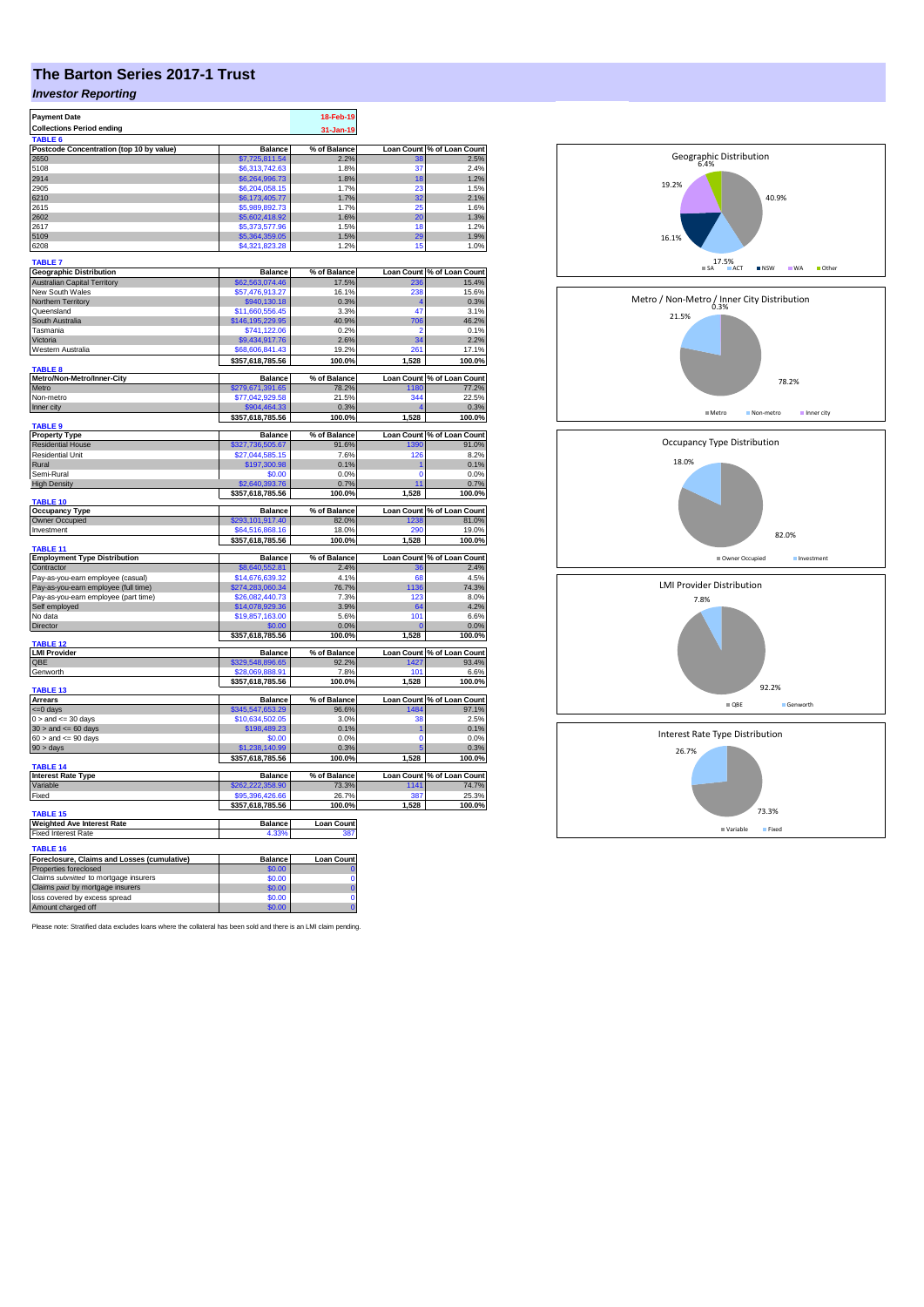## **The Barton Series 2017-1 Trust**

## *Investor Reporting*

| <b>Payment Date</b>                         |                  | 18-Feb-19         |          |                                         |
|---------------------------------------------|------------------|-------------------|----------|-----------------------------------------|
| <b>Collections Period ending</b>            |                  |                   |          |                                         |
|                                             |                  | 31-Jan-19         |          |                                         |
| TABLE <sup>(</sup>                          |                  |                   |          |                                         |
| Postcode Concentration (top 10 by value)    | <b>Balance</b>   | % of Balance      |          | Loan Count % of Loan Count              |
| 2650                                        | \$7,725,811.54   | 2.2%              | 38       | 2.5%                                    |
| 5108                                        | \$6,313,742.63   | 1.8%              | 37       | 2.4%                                    |
| 2914                                        | \$6,264,996.73   | 1.8%              | 18       | 1.2%                                    |
| 2905                                        | \$6,204,058.15   | 1.7%              | 23       | 1.5%                                    |
| 6210                                        | \$6,173,405.77   | 1.7%              | 32       | 2.1%                                    |
| 2615                                        | \$5,989,892.73   | 1.7%              | 25       | 1.6%                                    |
| 2602                                        | \$5,602,418.92   | 1.6%              | 20       | 1.3%                                    |
| 2617                                        | \$5,373,577.96   | 1.5%              | 18       | 1.2%                                    |
| 5109                                        | \$5,364,359.05   | 1.5%              | 29       | 1.9%                                    |
| 6208                                        | \$4,321,823.28   | 1.2%              | 15       | 1.0%                                    |
|                                             |                  |                   |          |                                         |
| <b>TABLE 7</b>                              |                  |                   |          |                                         |
| <b>Geographic Distribution</b>              | <b>Balance</b>   | % of Balance      |          | Loan Count % of Loan Count<br>236 15.4% |
| <b>Australian Capital Territory</b>         | \$62,563,074.46  | 17.5%             |          |                                         |
| New South Wales                             | \$57,476,913.27  | 16.1%             | 238      | 15.6%                                   |
| Northern Territory                          | \$940,130.18     | 0.3%              |          | 0.3%                                    |
| Queensland                                  | \$11,660,556.45  | 3.3%              | 47       | 3.1%                                    |
| South Australia                             | \$146,195,229.95 | 40.9%             | 706      | 46.2%                                   |
| Tasmania                                    | \$741,122.06     | 0.2%              |          | 0.1%                                    |
|                                             |                  |                   |          |                                         |
| Victoria                                    | \$9,434,917.76   | 2.6%              | 34       | 2.2%                                    |
| Western Australia                           | \$68,606,841.43  | 19.2%             | 261      | 17.1%                                   |
|                                             | \$357,618,785.56 | 100.0%            | 1,528    | 100.0%                                  |
| <b>TABLE 8</b>                              |                  |                   |          |                                         |
| Metro/Non-Metro/Inner-City                  | <b>Balance</b>   | % of Balance      |          | Loan Count % of Loan Count              |
| Metro                                       | \$279,671,391.65 | 78.2%             | 1180     | 77.2%                                   |
| Non-metro                                   | \$77,042,929.58  | 21.5%             | 344      | 22.5%                                   |
| Inner city                                  | \$904,464.33     | 0.3%              |          | 0.3%                                    |
|                                             | \$357,618,785.56 | 100.0%            | 1,528    | 100.0%                                  |
| <b>TABLE 9</b>                              |                  |                   |          |                                         |
| <b>Property Type</b>                        | <b>Balance</b>   | % of Balance      |          | Loan Count % of Loan Count              |
| <b>Residential House</b>                    | \$327,736,505.67 | 91.6%             | 1390     | 91.0%                                   |
| <b>Residential Unit</b>                     | \$27,044,585.15  | 7.6%              | 126      | 8.2%                                    |
| Rural                                       | \$197,300.98     | 0.1%              |          | 0.1%                                    |
| Semi-Rural                                  | \$0.00           | 0.0%              | $\Omega$ | 0.0%                                    |
| <b>High Density</b>                         | \$2,640,393,76   | 0.7%              | 11       | 0.7%                                    |
|                                             | \$357,618,785.56 | 100.0%            | 1,528    | 100.0%                                  |
| TABLE 10                                    |                  |                   |          |                                         |
| <b>Occupancy Type</b>                       | <b>Balance</b>   | % of Balance      |          | Loan Count % of Loan Count              |
| Owner Occupied                              | \$293,101,917.40 | 82.0%             | 1238     | 81.0%                                   |
| Investment                                  | \$64.516.868.16  | 18.0%             | 290      | 19.0%                                   |
|                                             |                  |                   |          |                                         |
|                                             | \$357,618,785.56 | 100.0%            | 1,528    | 100.0%                                  |
| TABLE 11                                    |                  |                   |          |                                         |
| <b>Employment Type Distribution</b>         | <b>Balance</b>   | % of Balance      |          | Loan Count % of Loan Count              |
| Contractor                                  | \$8,640,552.81   | 2.4%              |          | 2.4%                                    |
| Pay-as-you-earn employee (casual)           | \$14,676,639.32  | 4.1%              | 68       | 4.5%                                    |
| Pay-as-you-earn employee (full time)        | \$274,283,060.34 | 76.7%             | 1136     | 74.3%                                   |
| Pay-as-you-earn employee (part time)        | \$26,082,440.73  | 7.3%              | 123      | 8.0%                                    |
| Self employed                               | \$14,078,929.36  | 3.9%              | 64       | 4.2%                                    |
| No data                                     | \$19,857,163.00  | 5.6%              | 101      | 6.6%                                    |
| Director                                    | \$0.00           | 0.0%              | O        | 0.0%                                    |
|                                             | \$357,618,785.56 | 100.0%            | 1,528    | 100.0%                                  |
| TABLE <sub>12</sub>                         |                  |                   |          |                                         |
| <b>LMI Provider</b>                         | <b>Balance</b>   | % of Balance      |          | Loan Count % of Loan Count              |
| QBE                                         | \$329,548,896.65 | 92.2%             | 1427     | 93.4%                                   |
| Genworth                                    | \$28,069,888.91  | 7.8%              | 101      | 6.6%                                    |
|                                             | \$357,618,785.56 |                   |          | 100.0%                                  |
|                                             |                  |                   |          |                                         |
|                                             |                  | 100.0%            | 1,528    |                                         |
| TABLE <sub>13</sub>                         |                  |                   |          |                                         |
| <b>Arrears</b>                              | <b>Balance</b>   | % of Balance      |          | Loan Count % of Loan Count              |
| <= 0 days                                   | \$345,547,653.29 | 96.6%             | 1484     | 97.1%                                   |
| $0 >$ and $\leq$ 30 days                    | \$10,634,502.05  | 3.0%              | 38       | 2.5%                                    |
| $30 >$ and $\leq 60$ days                   | \$198,489.23     | 0.1%              | 1        | 0.1%                                    |
| $60 >$ and $\leq 90$ days                   | \$0.00           | 0.0%              | n        | 0.0%                                    |
| $90 > \text{days}$                          | \$1,238,140.99   | 0.3%              |          | 0.3%                                    |
|                                             | \$357,618,785.56 | 100.0%            | 1,528    | 100.0%                                  |
| TABLE 14                                    |                  |                   |          |                                         |
| <b>Interest Rate Type</b>                   | <b>Balance</b>   | % of Balance      |          | Loan Count % of Loan Count              |
| Variable                                    | \$262,222,358.90 | 73.3%             | 1141     | 74.7%                                   |
| Fixed                                       | \$95,396,426.66  | 26.7%             | 387      | 25.3%                                   |
|                                             | \$357,618,785.56 | 100.0%            | 1,528    | 100.0%                                  |
| TABLE <sub>15</sub>                         |                  |                   |          |                                         |
| <b>Weighted Ave Interest Rate</b>           | Balance          | <b>Loan Count</b> |          |                                         |
| <b>Fixed Interest Rate</b>                  | 4.33%            | 387               |          |                                         |
|                                             |                  |                   |          |                                         |
| TABLE 16                                    |                  |                   |          |                                         |
| Foreclosure, Claims and Losses (cumulative) | Balance          | <b>Loan Count</b> |          |                                         |
| Properties foreclosed                       | 60.00            |                   |          |                                         |
| Claims submitted to mortgage insurers       | \$0.00           | $\Omega$          |          |                                         |
| Claims paid by mortgage insurers            | \$0.00           | $\overline{0}$    |          |                                         |
| loss covered by excess spread               | \$0.00           | $\mathbf 0$       |          |                                         |

Please note: Stratified data excludes loans where the collateral has been sold and there is an LMI claim pending.